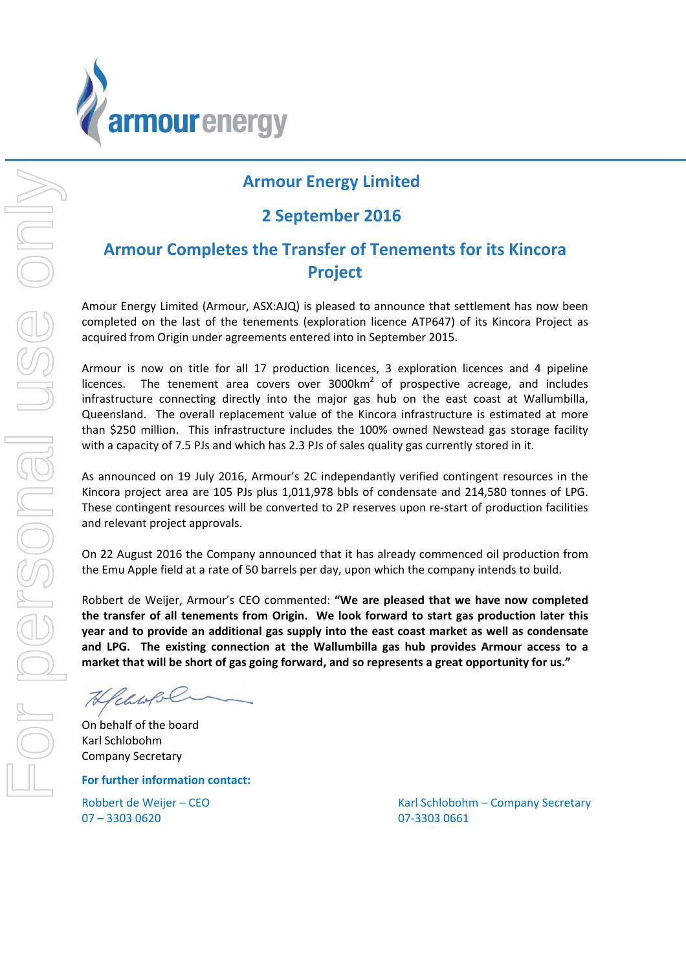

# **Armour Energy Limited**

## **2 September 2016**

# **Armour Completes the Transfer of Tenements for its Kincora Project**

Amour Energy Limited (Armour, ASX:AJQ) is pleased to announce that settlement has now been completed on the last of the tenements (exploration licence ATP647) of its Kincora Project as acquired from Origin under agreements entered into in September 2015.

Armour is now on title for all 17 production licences, 3 exploration licences and 4 pipeline licences. The tenement area covers over  $3000 \text{km}^2$  of prospective acreage, and includes infrastructure connecting directly into the major gas hub on the east coast at Wallumbilla, Queensland. The overall replacement value of the Kincora infrastructure is estimated at more than \$250 million. This infrastructure includes the 100% owned Newstead gas storage facility with a capacity of 7.5 PJs and which has 2.3 PJs of sales quality gas currently stored in it.

As announced on 19 July 2016, Armour's 2C independantly verified contingent resources in the Kincora project area are 105 PJs plus 1,011,978 bbls of condensate and 214,580 tonnes of LPG. These contingent resources will be converted to 2P reserves upon re‐start of production facilities and relevant project approvals.

On 22 August 2016 the Company announced that it has already commenced oil production from the Emu Apple field at a rate of 50 barrels per day, upon which the company intends to build.

Robbert de Weijer, Armour's CEO commented: **"We are pleased that we have now completed the transfer of all tenements from Origin. We look forward to start gas production later this year and to provide an additional gas supply into the east coast market as well as condensate and LPG. The existing connection at the Wallumbilla gas hub provides Armour access to a market that will be short of gas going forward, and so represents a great opportunity for us."**

Heaves

On behalf of the board Karl Schlobohm Company Secretary

**For further information contact:**

07 – 3303 0620 07‐3303 0661

Robbert de Weijer – CEO **8 Access 1999 March 2018** Karl Schlobohm – Company Secretary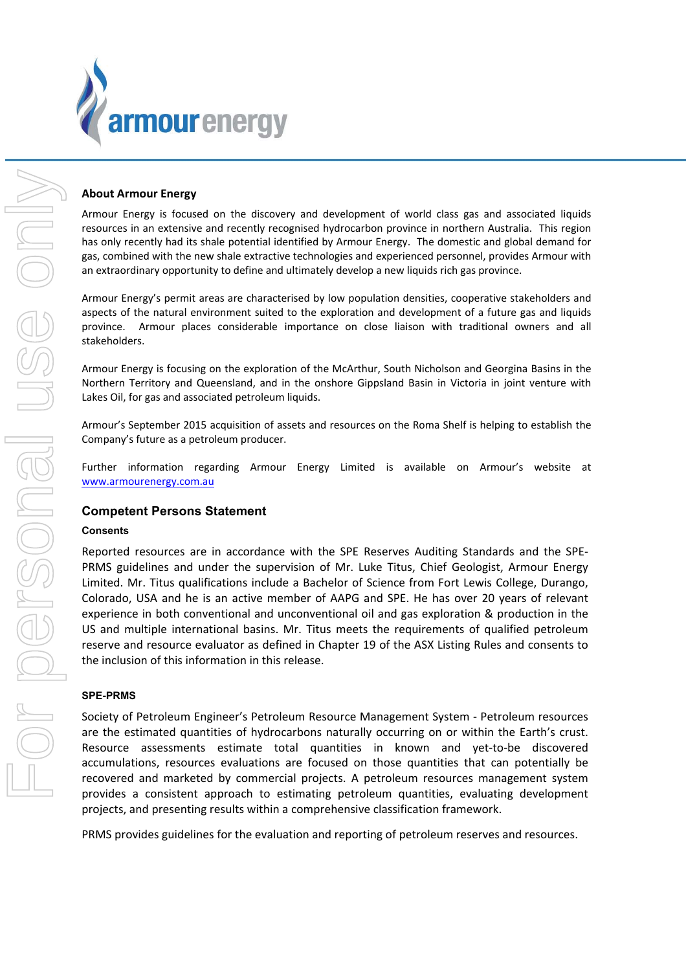

#### **About Armour Energy**

Armour Energy is focused on the discovery and development of world class gas and associated liquids resources in an extensive and recently recognised hydrocarbon province in northern Australia. This region has only recently had its shale potential identified by Armour Energy. The domestic and global demand for gas, combined with the new shale extractive technologies and experienced personnel, provides Armour with an extraordinary opportunity to define and ultimately develop a new liquids rich gas province.

Armour Energy's permit areas are characterised by low population densities, cooperative stakeholders and aspects of the natural environment suited to the exploration and development of a future gas and liquids province. Armour places considerable importance on close liaison with traditional owners and all stakeholders.

Armour Energy is focusing on the exploration of the McArthur, South Nicholson and Georgina Basins in the Northern Territory and Queensland, and in the onshore Gippsland Basin in Victoria in joint venture with Lakes Oil, for gas and associated petroleum liquids.

Armour's September 2015 acquisition of assets and resources on the Roma Shelf is helping to establish the Company's future as a petroleum producer.

Further information regarding Armour Energy Limited is available on Armour's website at www.armourenergy.com.au

## **Competent Persons Statement**

#### **Consents**

Reported resources are in accordance with the SPE Reserves Auditing Standards and the SPE‐ PRMS guidelines and under the supervision of Mr. Luke Titus, Chief Geologist, Armour Energy Limited. Mr. Titus qualifications include a Bachelor of Science from Fort Lewis College, Durango, Colorado, USA and he is an active member of AAPG and SPE. He has over 20 years of relevant experience in both conventional and unconventional oil and gas exploration & production in the US and multiple international basins. Mr. Titus meets the requirements of qualified petroleum reserve and resource evaluator as defined in Chapter 19 of the ASX Listing Rules and consents to the inclusion of this information in this release.

#### **SPE-PRMS**

Society of Petroleum Engineer's Petroleum Resource Management System ‐ Petroleum resources are the estimated quantities of hydrocarbons naturally occurring on or within the Earth's crust. Resource assessments estimate total quantities in known and yet-to-be discovered accumulations, resources evaluations are focused on those quantities that can potentially be recovered and marketed by commercial projects. A petroleum resources management system provides a consistent approach to estimating petroleum quantities, evaluating development projects, and presenting results within a comprehensive classification framework.

PRMS provides guidelines for the evaluation and reporting of petroleum reserves and resources.